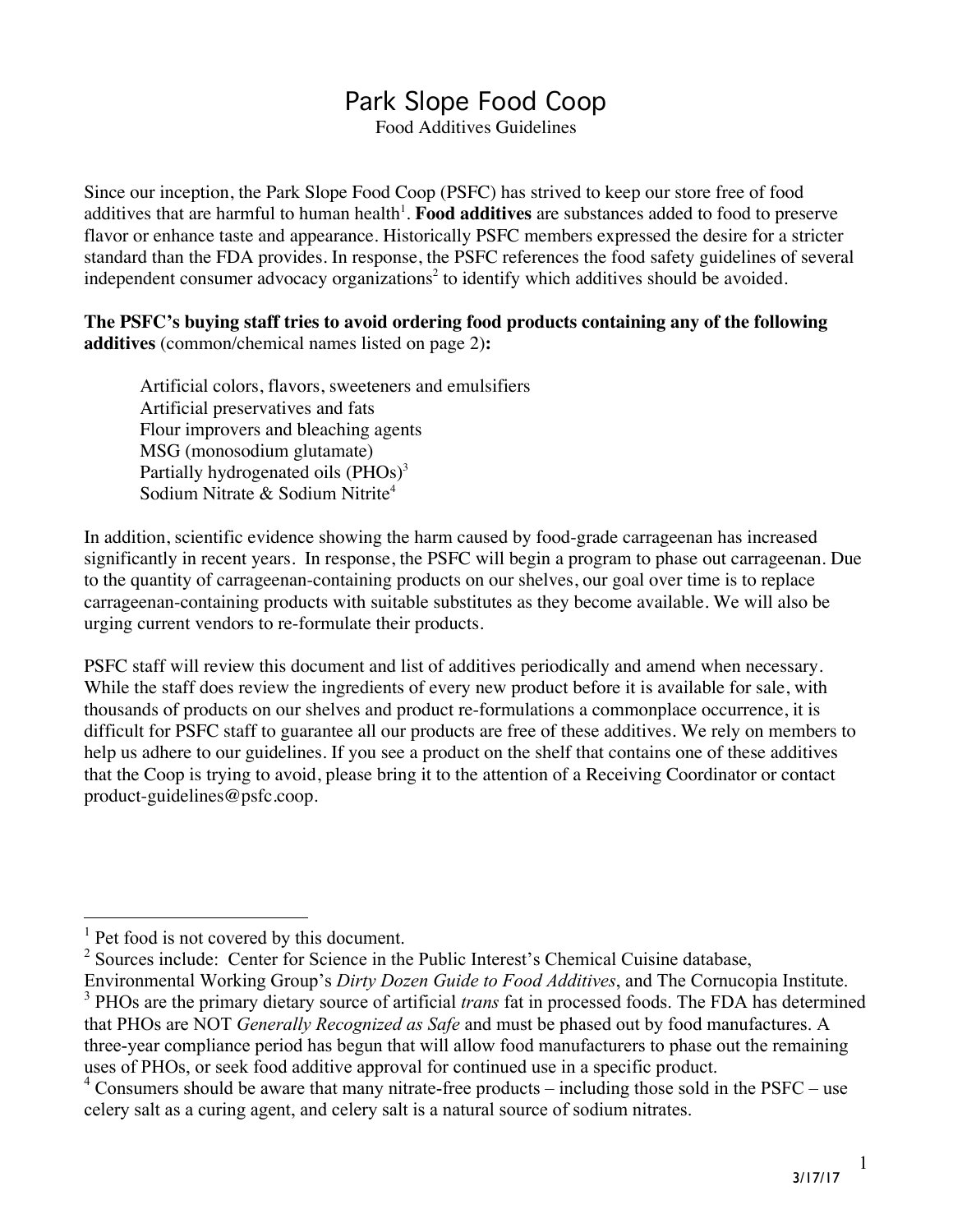## Park Slope Food Coop

Food Additives Guidelines

Since our inception, the Park Slope Food Coop (PSFC) has strived to keep our store free of food additives that are harmful to human health<sup>1</sup>. Food additives are substances added to food to preserve flavor or enhance taste and appearance. Historically PSFC members expressed the desire for a stricter standard than the FDA provides. In response, the PSFC references the food safety guidelines of several independent consumer advocacy organizations<sup>2</sup> to identify which additives should be avoided.

**The PSFC's buying staff tries to avoid ordering food products containing any of the following additives** (common/chemical names listed on page 2)**:**

Artificial colors, flavors, sweeteners and emulsifiers Artificial preservatives and fats Flour improvers and bleaching agents MSG (monosodium glutamate) Partially hydrogenated oils  $(PHOs)^3$ Sodium Nitrate & Sodium Nitrite<sup>4</sup>

In addition, scientific evidence showing the harm caused by food-grade carrageenan has increased significantly in recent years. In response, the PSFC will begin a program to phase out carrageenan. Due to the quantity of carrageenan-containing products on our shelves, our goal over time is to replace carrageenan-containing products with suitable substitutes as they become available. We will also be urging current vendors to re-formulate their products.

PSFC staff will review this document and list of additives periodically and amend when necessary. While the staff does review the ingredients of every new product before it is available for sale, with thousands of products on our shelves and product re-formulations a commonplace occurrence, it is difficult for PSFC staff to guarantee all our products are free of these additives. We rely on members to help us adhere to our guidelines. If you see a product on the shelf that contains one of these additives that the Coop is trying to avoid, please bring it to the attention of a Receiving Coordinator or contact product-guidelines@psfc.coop.

1

<sup>&</sup>lt;sup>1</sup> Pet food is not covered by this document.

<sup>&</sup>lt;sup>2</sup> Sources include: Center for Science in the Public Interest's Chemical Cuisine database,

Environmental Working Group's *Dirty Dozen Guide to Food Additives*, and The Cornucopia Institute. 3 PHOs are the primary dietary source of artificial *trans* fat in processed foods. The FDA has determined that PHOs are NOT *Generally Recognized as Safe* and must be phased out by food manufactures. A three-year compliance period has begun that will allow food manufacturers to phase out the remaining uses of PHOs, or seek food additive approval for continued use in a specific product.

 $4$  Consumers should be aware that many nitrate-free products – including those sold in the PSFC – use celery salt as a curing agent, and celery salt is a natural source of sodium nitrates.